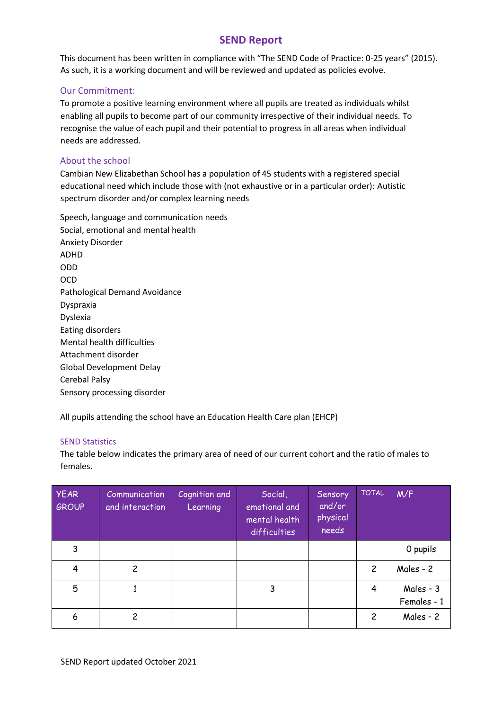# **SEND Report**

This document has been written in compliance with "The SEND Code of Practice: 0-25 years" (2015). As such, it is a working document and will be reviewed and updated as policies evolve.

# Our Commitment:

To promote a positive learning environment where all pupils are treated as individuals whilst enabling all pupils to become part of our community irrespective of their individual needs. To recognise the value of each pupil and their potential to progress in all areas when individual needs are addressed.

# About the school

Cambian New Elizabethan School has a population of 45 students with a registered special educational need which include those with (not exhaustive or in a particular order): Autistic spectrum disorder and/or complex learning needs

Speech, language and communication needs Social, emotional and mental health Anxiety Disorder ADHD ODD OCD Pathological Demand Avoidance Dyspraxia Dyslexia Eating disorders Mental health difficulties Attachment disorder Global Development Delay Cerebal Palsy Sensory processing disorder

All pupils attending the school have an Education Health Care plan (EHCP)

# SEND Statistics

The table below indicates the primary area of need of our current cohort and the ratio of males to females.

| <b>YEAR</b><br>GROUP | Communication<br>and interaction | Cognition and<br>Learning | Social,<br>emotional and<br>mental health<br>difficulties | Sensory<br>and/or<br>physical<br>needs | <b>TOTAL</b>   | M/F                        |
|----------------------|----------------------------------|---------------------------|-----------------------------------------------------------|----------------------------------------|----------------|----------------------------|
| 3                    |                                  |                           |                                                           |                                        |                | O pupils                   |
| 4                    | $\overline{c}$                   |                           |                                                           |                                        | $\overline{c}$ | Males - 2                  |
| 5                    |                                  |                           | 3                                                         |                                        | 4              | $Males - 3$<br>Females - 1 |
| 6                    | 2                                |                           |                                                           |                                        | 2              | $Males - 2$                |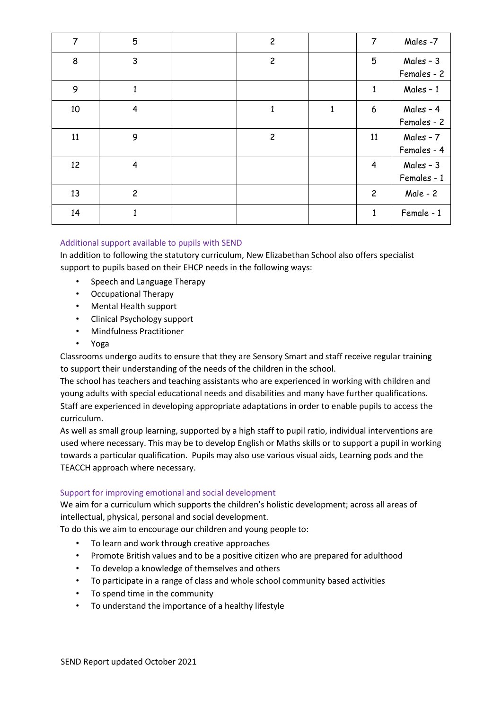| $\overline{7}$ | 5                       | $\overline{c}$ |              | $\overline{7}$ | Males -7                 |
|----------------|-------------------------|----------------|--------------|----------------|--------------------------|
| 8              | 3                       | $\overline{c}$ |              | 5              | Males - 3<br>Females - 2 |
| 9              | $\mathbf{1}$            |                |              | $\mathbf{1}$   | Males - 1                |
| 10             | $\overline{\mathbf{4}}$ | 1              | $\mathbf{1}$ | 6              | Males - 4<br>Females - 2 |
| 11             | 9                       | $\overline{c}$ |              | 11             | Males - 7<br>Females - 4 |
| 12             | 4                       |                |              | 4              | Males - 3<br>Females - 1 |
| 13             | $\overline{c}$          |                |              | $\overline{c}$ | Male - 2                 |
| 14             |                         |                |              | 1              | Female - 1               |

# Additional support available to pupils with SEND

In addition to following the statutory curriculum, New Elizabethan School also offers specialist support to pupils based on their EHCP needs in the following ways:

- Speech and Language Therapy
- Occupational Therapy
- Mental Health support
- Clinical Psychology support
- Mindfulness Practitioner
- Yoga

Classrooms undergo audits to ensure that they are Sensory Smart and staff receive regular training to support their understanding of the needs of the children in the school.

The school has teachers and teaching assistants who are experienced in working with children and young adults with special educational needs and disabilities and many have further qualifications. Staff are experienced in developing appropriate adaptations in order to enable pupils to access the curriculum.

As well as small group learning, supported by a high staff to pupil ratio, individual interventions are used where necessary. This may be to develop English or Maths skills or to support a pupil in working towards a particular qualification. Pupils may also use various visual aids, Learning pods and the TEACCH approach where necessary.

### Support for improving emotional and social development

We aim for a curriculum which supports the children's holistic development; across all areas of intellectual, physical, personal and social development.

To do this we aim to encourage our children and young people to:

- To learn and work through creative approaches
- Promote British values and to be a positive citizen who are prepared for adulthood
- To develop a knowledge of themselves and others
- To participate in a range of class and whole school community based activities
- To spend time in the community
- To understand the importance of a healthy lifestyle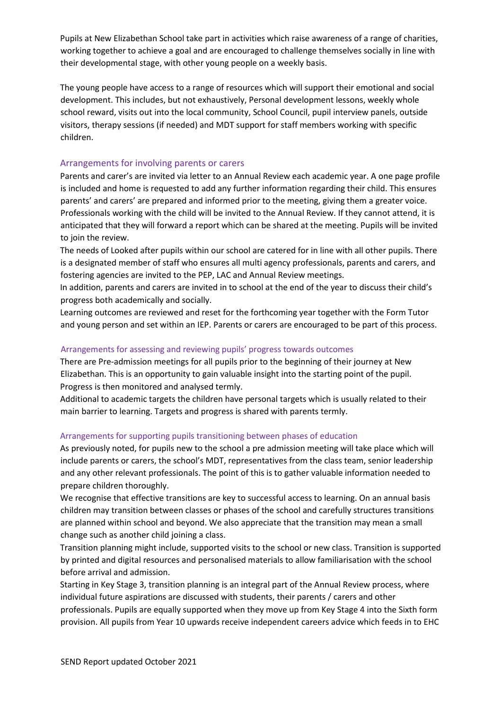Pupils at New Elizabethan School take part in activities which raise awareness of a range of charities, working together to achieve a goal and are encouraged to challenge themselves socially in line with their developmental stage, with other young people on a weekly basis.

The young people have access to a range of resources which will support their emotional and social development. This includes, but not exhaustively, Personal development lessons, weekly whole school reward, visits out into the local community, School Council, pupil interview panels, outside visitors, therapy sessions (if needed) and MDT support for staff members working with specific children.

# Arrangements for involving parents or carers

Parents and carer's are invited via letter to an Annual Review each academic year. A one page profile is included and home is requested to add any further information regarding their child. This ensures parents' and carers' are prepared and informed prior to the meeting, giving them a greater voice. Professionals working with the child will be invited to the Annual Review. If they cannot attend, it is anticipated that they will forward a report which can be shared at the meeting. Pupils will be invited to join the review.

The needs of Looked after pupils within our school are catered for in line with all other pupils. There is a designated member of staff who ensures all multi agency professionals, parents and carers, and fostering agencies are invited to the PEP, LAC and Annual Review meetings.

In addition, parents and carers are invited in to school at the end of the year to discuss their child's progress both academically and socially.

Learning outcomes are reviewed and reset for the forthcoming year together with the Form Tutor and young person and set within an IEP. Parents or carers are encouraged to be part of this process.

# Arrangements for assessing and reviewing pupils' progress towards outcomes

There are Pre-admission meetings for all pupils prior to the beginning of their journey at New Elizabethan. This is an opportunity to gain valuable insight into the starting point of the pupil. Progress is then monitored and analysed termly.

Additional to academic targets the children have personal targets which is usually related to their main barrier to learning. Targets and progress is shared with parents termly.

# Arrangements for supporting pupils transitioning between phases of education

As previously noted, for pupils new to the school a pre admission meeting will take place which will include parents or carers, the school's MDT, representatives from the class team, senior leadership and any other relevant professionals. The point of this is to gather valuable information needed to prepare children thoroughly.

We recognise that effective transitions are key to successful access to learning. On an annual basis children may transition between classes or phases of the school and carefully structures transitions are planned within school and beyond. We also appreciate that the transition may mean a small change such as another child joining a class.

Transition planning might include, supported visits to the school or new class. Transition is supported by printed and digital resources and personalised materials to allow familiarisation with the school before arrival and admission.

Starting in Key Stage 3, transition planning is an integral part of the Annual Review process, where individual future aspirations are discussed with students, their parents / carers and other professionals. Pupils are equally supported when they move up from Key Stage 4 into the Sixth form provision. All pupils from Year 10 upwards receive independent careers advice which feeds in to EHC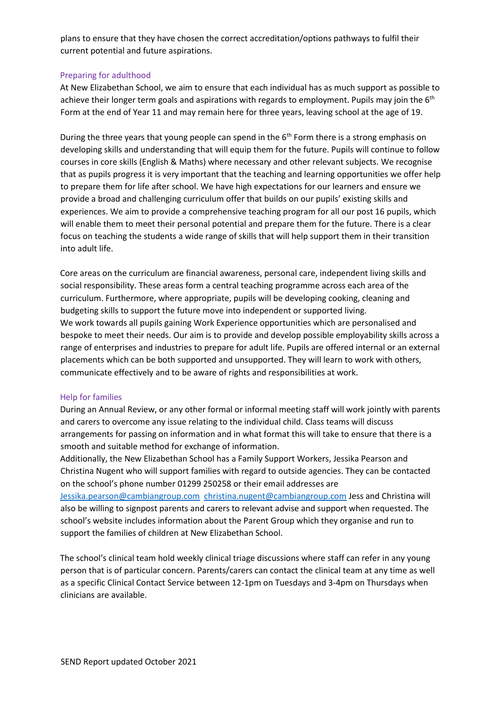plans to ensure that they have chosen the correct accreditation/options pathways to fulfil their current potential and future aspirations.

### Preparing for adulthood

At New Elizabethan School, we aim to ensure that each individual has as much support as possible to achieve their longer term goals and aspirations with regards to employment. Pupils may join the 6<sup>th</sup> Form at the end of Year 11 and may remain here for three years, leaving school at the age of 19.

During the three years that young people can spend in the  $6<sup>th</sup>$  Form there is a strong emphasis on developing skills and understanding that will equip them for the future. Pupils will continue to follow courses in core skills (English & Maths) where necessary and other relevant subjects. We recognise that as pupils progress it is very important that the teaching and learning opportunities we offer help to prepare them for life after school. We have high expectations for our learners and ensure we provide a broad and challenging curriculum offer that builds on our pupils' existing skills and experiences. We aim to provide a comprehensive teaching program for all our post 16 pupils, which will enable them to meet their personal potential and prepare them for the future. There is a clear focus on teaching the students a wide range of skills that will help support them in their transition into adult life.

Core areas on the curriculum are financial awareness, personal care, independent living skills and social responsibility. These areas form a central teaching programme across each area of the curriculum. Furthermore, where appropriate, pupils will be developing cooking, cleaning and budgeting skills to support the future move into independent or supported living. We work towards all pupils gaining Work Experience opportunities which are personalised and bespoke to meet their needs. Our aim is to provide and develop possible employability skills across a range of enterprises and industries to prepare for adult life. Pupils are offered internal or an external placements which can be both supported and unsupported. They will learn to work with others, communicate effectively and to be aware of rights and responsibilities at work.

### Help for families

During an Annual Review, or any other formal or informal meeting staff will work jointly with parents and carers to overcome any issue relating to the individual child. Class teams will discuss arrangements for passing on information and in what format this will take to ensure that there is a smooth and suitable method for exchange of information.

Additionally, the New Elizabethan School has a Family Support Workers, Jessika Pearson and Christina Nugent who will support families with regard to outside agencies. They can be contacted on the school's phone number 01299 250258 or their email addresses are

Jessika.pearson@cambiangroup.com christina.nugent@cambiangroup.com Jess and Christina will also be willing to signpost parents and carers to relevant advise and support when requested. The school's website includes information about the Parent Group which they organise and run to support the families of children at New Elizabethan School.

The school's clinical team hold weekly clinical triage discussions where staff can refer in any young person that is of particular concern. Parents/carers can contact the clinical team at any time as well as a specific Clinical Contact Service between 12-1pm on Tuesdays and 3-4pm on Thursdays when clinicians are available.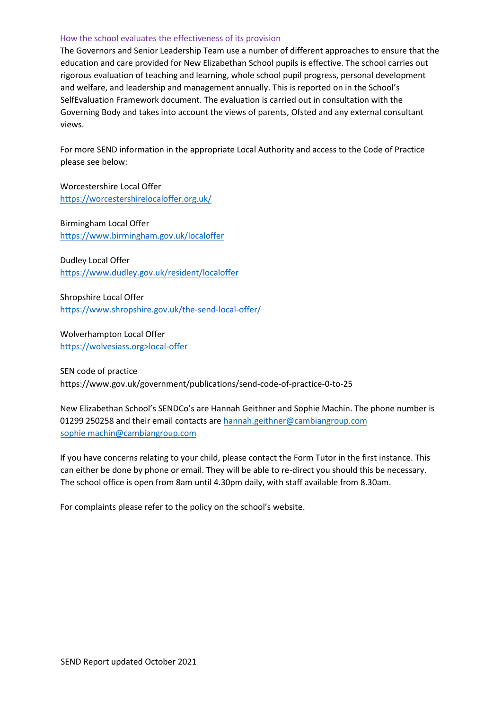### How the school evaluates the effectiveness of its provision

The Governors and Senior Leadership Team use a number of different approaches to ensure that the education and care provided for New Elizabethan School pupils is effective. The school carries out rigorous evaluation of teaching and learning, whole school pupil progress, personal development and welfare, and leadership and management annually. This is reported on in the School's SelfEvaluation Framework document. The evaluation is carried out in consultation with the Governing Body and takes into account the views of parents, Ofsted and any external consultant views.

For more SEND information in the appropriate Local Authority and access to the Code of Practice please see below:

Worcestershire Local Offer <https://worcestershirelocaloffer.org.uk/>

Birmingham Local Offer https://www.birmingham.gov.uk/localoffer

Dudley Local Offer <https://www.dudley.gov.uk/resident/localoffer>

Shropshire Local Offer <https://www.shropshire.gov.uk/the-send-local-offer/>

Wolverhampton Local Offer https://wolvesiass.org>local-offer

SEN code of practice https://www.gov.uk/government/publications/send-code-of-practice-0-to-25

New Elizabethan School's SENDCo's are Hannah Geithner and Sophie Machin. The phone number is 01299 250258 and their email contacts are hannah.geithner@cambiangroup.com sophie machin@cambiangroup.com

If you have concerns relating to your child, please contact the Form Tutor in the first instance. This can either be done by phone or email. They will be able to re-direct you should this be necessary. The school office is open from 8am until 4.30pm daily, with staff available from 8.30am.

For complaints please refer to the policy on the school's website.